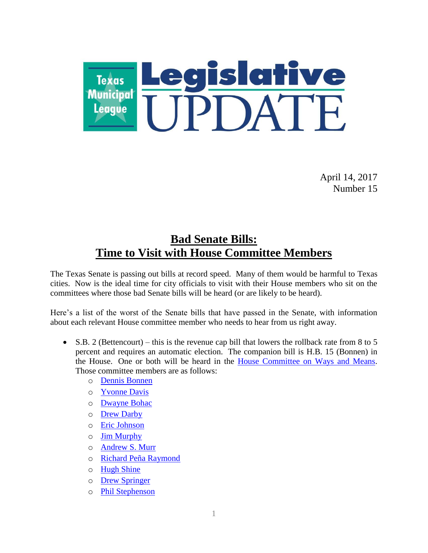

April 14, 2017 Number 15

### **Bad Senate Bills: Time to Visit with House Committee Members**

The Texas Senate is passing out bills at record speed. Many of them would be harmful to Texas cities. Now is the ideal time for city officials to visit with their House members who sit on the committees where those bad Senate bills will be heard (or are likely to be heard).

Here's a list of the worst of the Senate bills that have passed in the Senate, with information about each relevant House committee member who needs to hear from us right away.

- $\bullet$  S.B. 2 (Bettencourt) this is the revenue cap bill that lowers the rollback rate from 8 to 5 percent and requires an automatic election. The companion bill is H.B. 15 (Bonnen) in the House. One or both will be heard in the [House Committee on Ways and Means.](http://www.house.state.tx.us/committees/committee/?committee=C490) Those committee members are as follows:
	- o [Dennis Bonnen](http://www.house.state.tx.us/members/member-page/?district=25)
	- o [Yvonne Davis](http://www.house.state.tx.us/members/member-page/?district=111)
	- o [Dwayne Bohac](http://www.house.state.tx.us/members/member-page/?district=138)
	- o [Drew Darby](http://www.house.state.tx.us/members/member-page/?district=72)
	- o Eric [Johnson](http://www.house.state.tx.us/members/member-page/?district=100)
	- o [Jim Murphy](http://www.house.state.tx.us/members/member-page/?district=133)
	- o [Andrew S. Murr](http://www.house.state.tx.us/members/member-page/?district=53)
	- o [Richard Peña Raymond](http://www.house.state.tx.us/members/member-page/?district=42)
	- o [Hugh Shine](http://www.house.state.tx.us/members/member-page/?district=55)
	- o [Drew Springer](http://www.house.state.tx.us/members/member-page/?district=68)
	- o [Phil Stephenson](http://www.house.state.tx.us/members/member-page/?district=85)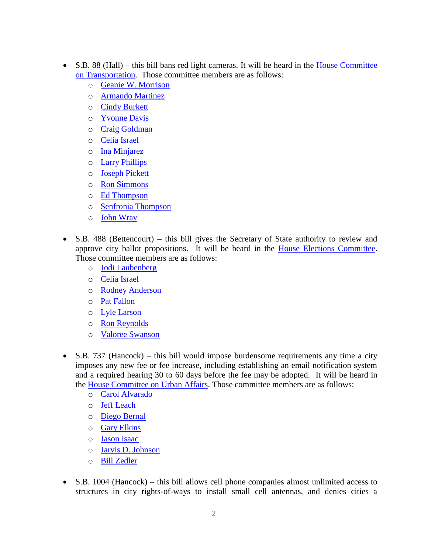- S.B. 88 (Hall) this bill bans red light cameras. It will be heard in the House Committee [on Transportation.](http://www.house.state.tx.us/committees/committee/?committee=C470) Those committee members are as follows:
	- o [Geanie W. Morrison](http://www.house.state.tx.us/members/member-page/?district=30)
	- o [Armando Martinez](http://www.house.state.tx.us/members/member-page/?district=39)
	- o [Cindy Burkett](http://www.house.state.tx.us/members/member-page/?district=113)
	- o [Yvonne Davis](http://www.house.state.tx.us/members/member-page/?district=111)
	- o [Craig Goldman](http://www.house.state.tx.us/members/member-page/?district=97)
	- o [Celia Israel](http://www.house.state.tx.us/members/member-page/?district=50)
	- o [Ina Minjarez](http://www.house.state.tx.us/members/member-page/?district=124)
	- o [Larry Phillips](http://www.house.state.tx.us/members/member-page/?district=62)
	- o [Joseph Pickett](http://www.house.state.tx.us/members/member-page/?district=79)
	- o [Ron Simmons](http://www.house.state.tx.us/members/member-page/?district=65)
	- o [Ed Thompson](http://www.house.state.tx.us/members/member-page/?district=29)
	- o [Senfronia Thompson](http://www.house.state.tx.us/members/member-page/?district=141)
	- o [John Wray](http://www.house.state.tx.us/members/member-page/?district=10)
- S.B. 488 (Bettencourt) this bill gives the Secretary of State authority to review and approve city ballot propositions. It will be heard in the [House Elections Committee.](http://www.house.state.tx.us/committees/committee/?committee=C240) Those committee members are as follows:
	- o [Jodi Laubenberg](http://www.house.state.tx.us/members/member-page/?district=89)
	- o [Celia Israel](http://www.house.state.tx.us/members/member-page/?district=50)
	- o [Rodney Anderson](http://www.house.state.tx.us/members/member-page/?district=105)
	- o [Pat Fallon](http://www.house.state.tx.us/members/member-page/?district=106)
	- o [Lyle Larson](http://www.house.state.tx.us/members/member-page/?district=122)
	- o [Ron Reynolds](http://www.house.state.tx.us/members/member-page/?district=27)
	- o [Valoree Swanson](http://www.house.state.tx.us/members/member-page/?district=150)
- $\bullet$  S.B. 737 (Hancock) this bill would impose burdensome requirements any time a city imposes any new fee or fee increase, including establishing an email notification system and a required hearing 30 to 60 days before the fee may be adopted. It will be heard in the [House Committee on Urban Affairs.](http://www.house.state.tx.us/committees/committee/?committee=C480) Those committee members are as follows:
	- o [Carol Alvarado](http://www.house.state.tx.us/members/member-page/?district=145)
	- o [Jeff Leach](http://www.house.state.tx.us/members/member-page/?district=67)
	- o [Diego Bernal](http://www.house.state.tx.us/members/member-page/?district=123)
	- o [Gary Elkins](http://www.house.state.tx.us/members/member-page/?district=135)
	- o [Jason Isaac](http://www.house.state.tx.us/members/member-page/?district=45)
	- o [Jarvis D. Johnson](http://www.house.state.tx.us/members/member-page/?district=139)
	- o [Bill Zedler](http://www.house.state.tx.us/members/member-page/?district=96)
- S.B. 1004 (Hancock) this bill allows cell phone companies almost unlimited access to structures in city rights-of-ways to install small cell antennas, and denies cities a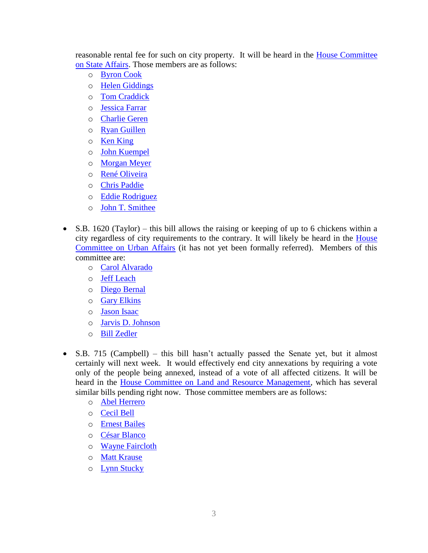reasonable rental fee for such on city property. It will be heard in the [House Committee](http://www.house.state.tx.us/committees/committee/?committee=C450)  [on State Affairs.](http://www.house.state.tx.us/committees/committee/?committee=C450) Those members are as follows:

- o [Byron Cook](http://www.house.state.tx.us/members/member-page/?district=8)
- o [Helen Giddings](http://www.house.state.tx.us/members/member-page/?district=109)
- o [Tom Craddick](http://www.house.state.tx.us/members/member-page/?district=82)
- o [Jessica Farrar](http://www.house.state.tx.us/members/member-page/?district=148)
- o [Charlie Geren](http://www.house.state.tx.us/members/member-page/?district=99)
- o [Ryan Guillen](http://www.house.state.tx.us/members/member-page/?district=31)
- o [Ken King](http://www.house.state.tx.us/members/member-page/?district=88)
- o [John Kuempel](http://www.house.state.tx.us/members/member-page/?district=44)
- o [Morgan Meyer](http://www.house.state.tx.us/members/member-page/?district=108)
- o [René Oliveira](http://www.house.state.tx.us/members/member-page/?district=37)
- o [Chris Paddie](http://www.house.state.tx.us/members/member-page/?district=9)
- o [Eddie Rodriguez](http://www.house.state.tx.us/members/member-page/?district=51)
- o [John T. Smithee](http://www.house.state.tx.us/members/member-page/?district=86)
- $\bullet$  S.B. 1620 (Taylor) this bill allows the raising or keeping of up to 6 chickens within a city regardless of city requirements to the contrary. It will likely be heard in the [House](http://www.house.state.tx.us/committees/committee/?committee=C480)  [Committee on Urban Affairs](http://www.house.state.tx.us/committees/committee/?committee=C480) (it has not yet been formally referred). Members of this committee are:
	- o [Carol Alvarado](http://www.house.state.tx.us/members/member-page/?district=145)
	- o [Jeff Leach](http://www.house.state.tx.us/members/member-page/?district=67)
	- o [Diego Bernal](http://www.house.state.tx.us/members/member-page/?district=123)
	- o [Gary Elkins](http://www.house.state.tx.us/members/member-page/?district=135)
	- o [Jason Isaac](http://www.house.state.tx.us/members/member-page/?district=45)
	- o [Jarvis D. Johnson](http://www.house.state.tx.us/members/member-page/?district=139)
	- o [Bill Zedler](http://www.house.state.tx.us/members/member-page/?district=96)
- S.B. 715 (Campbell) this bill hasn't actually passed the Senate yet, but it almost certainly will next week. It would effectively end city annexations by requiring a vote only of the people being annexed, instead of a vote of all affected citizens. It will be heard in the [House Committee on Land and Resource Management,](http://www.house.state.tx.us/committees/committee/?committee=C360) which has several similar bills pending right now. Those committee members are as follows:
	- o [Abel Herrero](http://www.house.state.tx.us/members/member-page/?district=34)
	- o [Cecil Bell](http://www.house.state.tx.us/members/member-page/?district=3)
	- o [Ernest Bailes](http://www.house.state.tx.us/members/member-page/?district=18)
	- o [César Blanco](http://www.house.state.tx.us/members/member-page/?district=76)
	- o [Wayne Faircloth](http://www.house.state.tx.us/members/member-page/?district=23)
	- o [Matt Krause](http://www.house.state.tx.us/members/member-page/?district=93)
	- o [Lynn Stucky](http://www.house.state.tx.us/members/member-page/?district=64)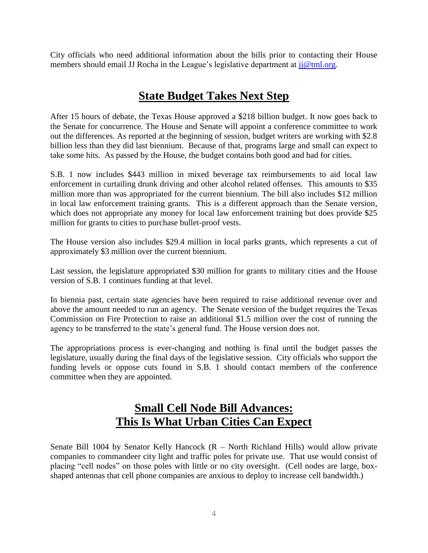City officials who need additional information about the bills prior to contacting their House members should email JJ Rocha in the League's legislative department at  $ji@tml.org$ .

## **State Budget Takes Next Step**

After 15 hours of debate, the Texas House approved a \$218 billion budget. It now goes back to the Senate for concurrence. The House and Senate will appoint a conference committee to work out the differences. As reported at the beginning of session, budget writers are working with \$2.8 billion less than they did last biennium. Because of that, programs large and small can expect to take some hits. As passed by the House, the budget contains both good and bad for cities.

S.B. 1 now includes \$443 million in mixed beverage tax reimbursements to aid local law enforcement in curtailing drunk driving and other alcohol related offenses. This amounts to \$35 million more than was appropriated for the current biennium. The bill also includes \$12 million in local law enforcement training grants. This is a different approach than the Senate version, which does not appropriate any money for local law enforcement training but does provide \$25 million for grants to cities to purchase bullet-proof vests.

The House version also includes \$29.4 million in local parks grants, which represents a cut of approximately \$3 million over the current biennium.

Last session, the legislature appropriated \$30 million for grants to military cities and the House version of S.B. 1 continues funding at that level.

In biennia past, certain state agencies have been required to raise additional revenue over and above the amount needed to run an agency. The Senate version of the budget requires the Texas Commission on Fire Protection to raise an additional \$1.5 million over the cost of running the agency to be transferred to the state's general fund. The House version does not.

The appropriations process is ever-changing and nothing is final until the budget passes the legislature, usually during the final days of the legislative session. City officials who support the funding levels or oppose cuts found in S.B. 1 should contact members of the conference committee when they are appointed.

# **Small Cell Node Bill Advances: This Is What Urban Cities Can Expect**

Senate Bill 1004 by Senator Kelly Hancock  $(R - North$  Richland Hills) would allow private companies to commandeer city light and traffic poles for private use. That use would consist of placing "cell nodes" on those poles with little or no city oversight. (Cell nodes are large, boxshaped antennas that cell phone companies are anxious to deploy to increase cell bandwidth.)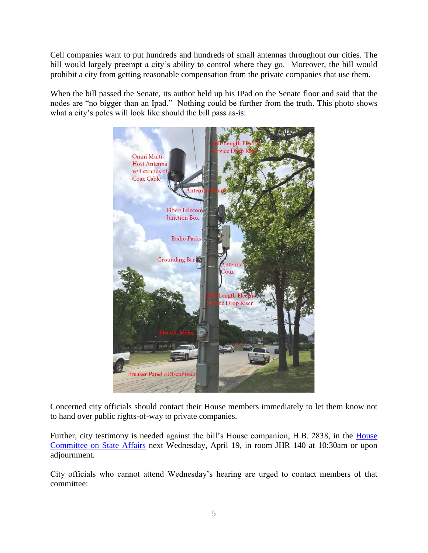Cell companies want to put hundreds and hundreds of small antennas throughout our cities. The bill would largely preempt a city's ability to control where they go. Moreover, the bill would prohibit a city from getting reasonable compensation from the private companies that use them.

When the bill passed the Senate, its author held up his IPad on the Senate floor and said that the nodes are "no bigger than an Ipad." Nothing could be further from the truth. This photo shows what a city's poles will look like should the bill pass as-is:



Concerned city officials should contact their House members immediately to let them know not to hand over public rights-of-way to private companies.

Further, city testimony is needed against the bill's House companion, H.B. 2838, in the [House](http://www.house.state.tx.us/committees/committee/?committee=C450)  [Committee on State Affairs](http://www.house.state.tx.us/committees/committee/?committee=C450) next Wednesday, April 19, in room JHR 140 at 10:30am or upon adjournment.

City officials who cannot attend Wednesday's hearing are urged to contact members of that committee: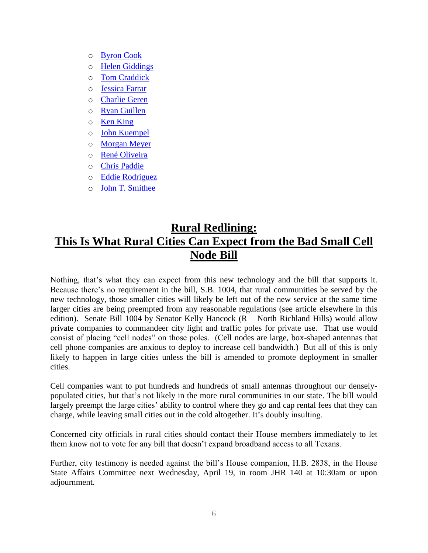- o [Byron Cook](http://www.house.state.tx.us/members/member-page/?district=8)
- o [Helen Giddings](http://www.house.state.tx.us/members/member-page/?district=109)
- o [Tom Craddick](http://www.house.state.tx.us/members/member-page/?district=82)
- o [Jessica Farrar](http://www.house.state.tx.us/members/member-page/?district=148)
- o [Charlie Geren](http://www.house.state.tx.us/members/member-page/?district=99)
- o [Ryan Guillen](http://www.house.state.tx.us/members/member-page/?district=31)
- o [Ken King](http://www.house.state.tx.us/members/member-page/?district=88)
- o [John Kuempel](http://www.house.state.tx.us/members/member-page/?district=44)
- o [Morgan Meyer](http://www.house.state.tx.us/members/member-page/?district=108)
- o [René Oliveira](http://www.house.state.tx.us/members/member-page/?district=37)
- o [Chris Paddie](http://www.house.state.tx.us/members/member-page/?district=9)
- o [Eddie Rodriguez](http://www.house.state.tx.us/members/member-page/?district=51)
- o [John T. Smithee](http://www.house.state.tx.us/members/member-page/?district=86)

# **Rural Redlining: This Is What Rural Cities Can Expect from the Bad Small Cell Node Bill**

Nothing, that's what they can expect from this new technology and the bill that supports it. Because there's no requirement in the bill, S.B. 1004, that rural communities be served by the new technology, those smaller cities will likely be left out of the new service at the same time larger cities are being preempted from any reasonable regulations (see article elsewhere in this edition). Senate Bill 1004 by Senator Kelly Hancock (R – North Richland Hills) would allow private companies to commandeer city light and traffic poles for private use. That use would consist of placing "cell nodes" on those poles. (Cell nodes are large, box-shaped antennas that cell phone companies are anxious to deploy to increase cell bandwidth.) But all of this is only likely to happen in large cities unless the bill is amended to promote deployment in smaller cities.

Cell companies want to put hundreds and hundreds of small antennas throughout our denselypopulated cities, but that's not likely in the more rural communities in our state. The bill would largely preempt the large cities' ability to control where they go and cap rental fees that they can charge, while leaving small cities out in the cold altogether. It's doubly insulting.

Concerned city officials in rural cities should contact their House members immediately to let them know not to vote for any bill that doesn't expand broadband access to all Texans.

Further, city testimony is needed against the bill's House companion, H.B. 2838, in the House State Affairs Committee next Wednesday, April 19, in room JHR 140 at 10:30am or upon adjournment.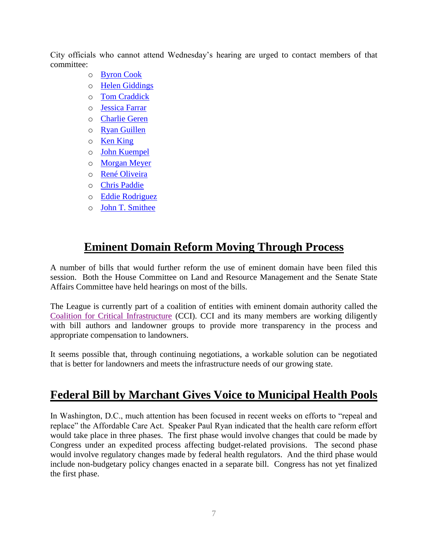City officials who cannot attend Wednesday's hearing are urged to contact members of that committee:

- o [Byron Cook](http://www.house.state.tx.us/members/member-page/?district=8)
- o [Helen Giddings](http://www.house.state.tx.us/members/member-page/?district=109)
- o [Tom Craddick](http://www.house.state.tx.us/members/member-page/?district=82)
- o [Jessica Farrar](http://www.house.state.tx.us/members/member-page/?district=148)
- o [Charlie Geren](http://www.house.state.tx.us/members/member-page/?district=99)
- o [Ryan Guillen](http://www.house.state.tx.us/members/member-page/?district=31)
- o [Ken King](http://www.house.state.tx.us/members/member-page/?district=88)
- o [John Kuempel](http://www.house.state.tx.us/members/member-page/?district=44)
- o [Morgan Meyer](http://www.house.state.tx.us/members/member-page/?district=108)
- o [René Oliveira](http://www.house.state.tx.us/members/member-page/?district=37)
- o [Chris Paddie](http://www.house.state.tx.us/members/member-page/?district=9)
- o [Eddie Rodriguez](http://www.house.state.tx.us/members/member-page/?district=51)
- o [John T. Smithee](http://www.house.state.tx.us/members/member-page/?district=86)

#### **Eminent Domain Reform Moving Through Process**

A number of bills that would further reform the use of eminent domain have been filed this session. Both the House Committee on Land and Resource Management and the Senate State Affairs Committee have held hearings on most of the bills.

The League is currently part of a coalition of entities with eminent domain authority called the [Coalition for Critical Infrastructure](http://ccitx.org/) (CCI). CCI and its many members are working diligently with bill authors and landowner groups to provide more transparency in the process and appropriate compensation to landowners.

It seems possible that, through continuing negotiations, a workable solution can be negotiated that is better for landowners and meets the infrastructure needs of our growing state.

#### **Federal Bill by Marchant Gives Voice to Municipal Health Pools**

In Washington, D.C., much attention has been focused in recent weeks on efforts to "repeal and replace" the Affordable Care Act. Speaker Paul Ryan indicated that the health care reform effort would take place in three phases. The first phase would involve changes that could be made by Congress under an expedited process affecting budget-related provisions. The second phase would involve regulatory changes made by federal health regulators. And the third phase would include non-budgetary policy changes enacted in a separate bill. Congress has not yet finalized the first phase.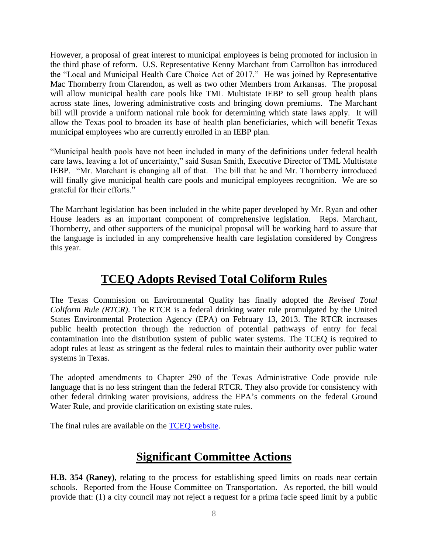However, a proposal of great interest to municipal employees is being promoted for inclusion in the third phase of reform. U.S. Representative Kenny Marchant from Carrollton has introduced the "Local and Municipal Health Care Choice Act of 2017." He was joined by Representative Mac Thornberry from Clarendon, as well as two other Members from Arkansas. The proposal will allow municipal health care pools like TML Multistate IEBP to sell group health plans across state lines, lowering administrative costs and bringing down premiums. The Marchant bill will provide a uniform national rule book for determining which state laws apply. It will allow the Texas pool to broaden its base of health plan beneficiaries, which will benefit Texas municipal employees who are currently enrolled in an IEBP plan.

"Municipal health pools have not been included in many of the definitions under federal health care laws, leaving a lot of uncertainty," said Susan Smith, Executive Director of TML Multistate IEBP. "Mr. Marchant is changing all of that. The bill that he and Mr. Thornberry introduced will finally give municipal health care pools and municipal employees recognition. We are so grateful for their efforts."

The Marchant legislation has been included in the white paper developed by Mr. Ryan and other House leaders as an important component of comprehensive legislation. Reps. Marchant, Thornberry, and other supporters of the municipal proposal will be working hard to assure that the language is included in any comprehensive health care legislation considered by Congress this year.

## **TCEQ Adopts Revised Total Coliform Rules**

The Texas Commission on Environmental Quality has finally adopted the *Revised Total Coliform Rule (RTCR)*. The RTCR is a federal drinking water rule promulgated by the United States Environmental Protection Agency (EPA) on February 13, 2013. The RTCR increases public health protection through the reduction of potential pathways of entry for fecal contamination into the distribution system of public water systems. The TCEQ is required to adopt rules at least as stringent as the federal rules to maintain their authority over public water systems in Texas.

The adopted amendments to Chapter 290 of the Texas Administrative Code provide rule language that is no less stringent than the federal RTCR. They also provide for consistency with other federal drinking water provisions, address the EPA's comments on the federal Ground Water Rule, and provide clarification on existing state rules.

The final rules are available on the [TCEQ website.](https://www.tceq.texas.gov/rules/indxpdf.html)

# **Significant Committee Actions**

**H.B. 354 (Raney)**, relating to the process for establishing speed limits on roads near certain schools. Reported from the House Committee on Transportation. As reported, the bill would provide that: (1) a city council may not reject a request for a prima facie speed limit by a public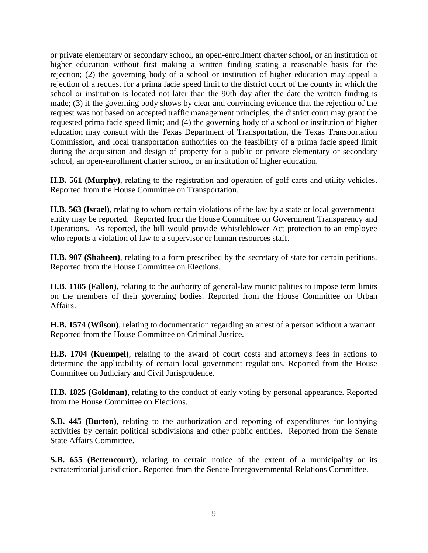or private elementary or secondary school, an open-enrollment charter school, or an institution of higher education without first making a written finding stating a reasonable basis for the rejection; (2) the governing body of a school or institution of higher education may appeal a rejection of a request for a prima facie speed limit to the district court of the county in which the school or institution is located not later than the 90th day after the date the written finding is made; (3) if the governing body shows by clear and convincing evidence that the rejection of the request was not based on accepted traffic management principles, the district court may grant the requested prima facie speed limit; and (4) the governing body of a school or institution of higher education may consult with the Texas Department of Transportation, the Texas Transportation Commission, and local transportation authorities on the feasibility of a prima facie speed limit during the acquisition and design of property for a public or private elementary or secondary school, an open-enrollment charter school, or an institution of higher education.

**H.B. 561 (Murphy)**, relating to the registration and operation of golf carts and utility vehicles. Reported from the House Committee on Transportation.

**H.B. 563 (Israel)**, relating to whom certain violations of the law by a state or local governmental entity may be reported. Reported from the House Committee on Government Transparency and Operations. As reported, the bill would provide Whistleblower Act protection to an employee who reports a violation of law to a supervisor or human resources staff.

**H.B. 907 (Shaheen)**, relating to a form prescribed by the secretary of state for certain petitions. Reported from the House Committee on Elections.

**H.B. 1185 (Fallon)**, relating to the authority of general-law municipalities to impose term limits on the members of their governing bodies. Reported from the House Committee on Urban Affairs.

**H.B. 1574 (Wilson)**, relating to documentation regarding an arrest of a person without a warrant. Reported from the House Committee on Criminal Justice.

**H.B. 1704 (Kuempel)**, relating to the award of court costs and attorney's fees in actions to determine the applicability of certain local government regulations. Reported from the House Committee on Judiciary and Civil Jurisprudence.

**H.B. 1825 (Goldman)**, relating to the conduct of early voting by personal appearance. Reported from the House Committee on Elections.

**S.B. 445 (Burton)**, relating to the authorization and reporting of expenditures for lobbying activities by certain political subdivisions and other public entities. Reported from the Senate State Affairs Committee.

**S.B. 655 (Bettencourt)**, relating to certain notice of the extent of a municipality or its extraterritorial jurisdiction. Reported from the Senate Intergovernmental Relations Committee.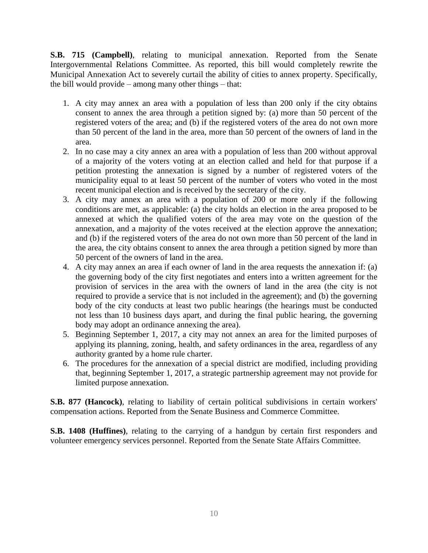**S.B. 715 (Campbell)**, relating to municipal annexation. Reported from the Senate Intergovernmental Relations Committee. As reported, this bill would completely rewrite the Municipal Annexation Act to severely curtail the ability of cities to annex property. Specifically, the bill would provide – among many other things – that:

- 1. A city may annex an area with a population of less than 200 only if the city obtains consent to annex the area through a petition signed by: (a) more than 50 percent of the registered voters of the area; and (b) if the registered voters of the area do not own more than 50 percent of the land in the area, more than 50 percent of the owners of land in the area.
- 2. In no case may a city annex an area with a population of less than 200 without approval of a majority of the voters voting at an election called and held for that purpose if a petition protesting the annexation is signed by a number of registered voters of the municipality equal to at least 50 percent of the number of voters who voted in the most recent municipal election and is received by the secretary of the city.
- 3. A city may annex an area with a population of 200 or more only if the following conditions are met, as applicable: (a) the city holds an election in the area proposed to be annexed at which the qualified voters of the area may vote on the question of the annexation, and a majority of the votes received at the election approve the annexation; and (b) if the registered voters of the area do not own more than 50 percent of the land in the area, the city obtains consent to annex the area through a petition signed by more than 50 percent of the owners of land in the area.
- 4. A city may annex an area if each owner of land in the area requests the annexation if: (a) the governing body of the city first negotiates and enters into a written agreement for the provision of services in the area with the owners of land in the area (the city is not required to provide a service that is not included in the agreement); and (b) the governing body of the city conducts at least two public hearings (the hearings must be conducted not less than 10 business days apart, and during the final public hearing, the governing body may adopt an ordinance annexing the area).
- 5. Beginning September 1, 2017, a city may not annex an area for the limited purposes of applying its planning, zoning, health, and safety ordinances in the area, regardless of any authority granted by a home rule charter.
- 6. The procedures for the annexation of a special district are modified, including providing that, beginning September 1, 2017, a strategic partnership agreement may not provide for limited purpose annexation.

**S.B. 877 (Hancock)**, relating to liability of certain political subdivisions in certain workers' compensation actions. Reported from the Senate Business and Commerce Committee.

**S.B. 1408 (Huffines)**, relating to the carrying of a handgun by certain first responders and volunteer emergency services personnel. Reported from the Senate State Affairs Committee.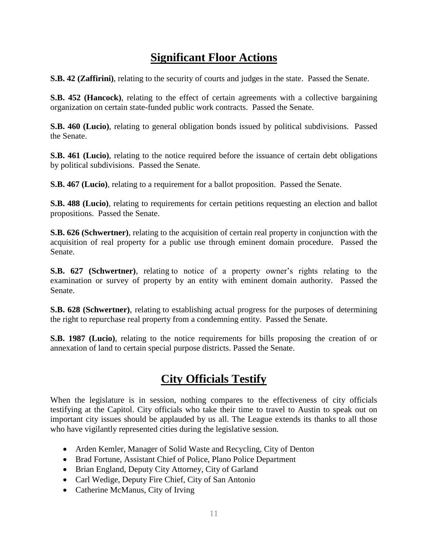# **Significant Floor Actions**

**S.B. 42 (Zaffirini)**, relating to the security of courts and judges in the state. Passed the Senate.

**S.B. 452 (Hancock)**, relating to the effect of certain agreements with a collective bargaining organization on certain state-funded public work contracts. Passed the Senate.

**S.B. 460 (Lucio)**, relating to general obligation bonds issued by political subdivisions. Passed the Senate.

**S.B. 461 (Lucio)**, relating to the notice required before the issuance of certain debt obligations by political subdivisions. Passed the Senate.

**S.B. 467 (Lucio)**, relating to a requirement for a ballot proposition. Passed the Senate.

**S.B. 488 (Lucio)**, relating to requirements for certain petitions requesting an election and ballot propositions. Passed the Senate.

**S.B. 626 (Schwertner)**, relating to the acquisition of certain real property in conjunction with the acquisition of real property for a public use through eminent domain procedure. Passed the Senate.

**S.B. 627 (Schwertner)**, relating to notice of a property owner's rights relating to the examination or survey of property by an entity with eminent domain authority. Passed the Senate.

**S.B. 628 (Schwertner)**, relating to establishing actual progress for the purposes of determining the right to repurchase real property from a condemning entity. Passed the Senate.

**S.B. 1987 (Lucio)**, relating to the notice requirements for bills proposing the creation of or annexation of land to certain special purpose districts. Passed the Senate.

#### **City Officials Testify**

When the legislature is in session, nothing compares to the effectiveness of city officials testifying at the Capitol. City officials who take their time to travel to Austin to speak out on important city issues should be applauded by us all. The League extends its thanks to all those who have vigilantly represented cities during the legislative session.

- Arden Kemler, Manager of Solid Waste and Recycling, City of Denton
- Brad Fortune, Assistant Chief of Police, Plano Police Department
- Brian England, Deputy City Attorney, City of Garland
- Carl Wedige, Deputy Fire Chief, City of San Antonio
- Catherine McManus, City of Irving